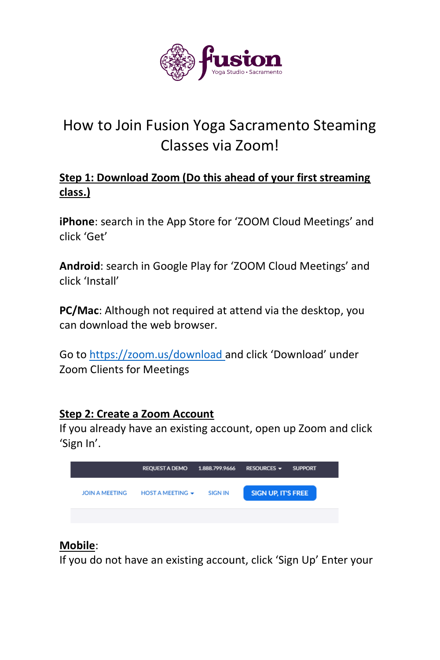

# How to Join Fusion Yoga Sacramento Steaming Classes via Zoom!

## **Step 1: Download Zoom (Do this ahead of your first streaming class.)**

**iPhone**: search in the App Store for 'ZOOM Cloud Meetings' and click 'Get'

**Android**: search in Google Play for 'ZOOM Cloud Meetings' and click 'Install'

**PC/Mac**: Although not required at attend via the desktop, you can download the web browser.

Go to<https://zoom.us/download>and click 'Download' under Zoom Clients for Meetings

#### **Step 2: Create a Zoom Account**

If you already have an existing account, open up Zoom and click 'Sign In'.

|                       | <b>REQUEST A DEMO</b>  | 1.888.799.9666 | RESOURCES $\blacktriangleright$ | <b>SUPPORT</b> |
|-----------------------|------------------------|----------------|---------------------------------|----------------|
| <b>JOIN A MEETING</b> | HOST A MEETING $\star$ | <b>SIGN IN</b> | <b>SIGN UP, IT'S FREE</b>       |                |
|                       |                        |                |                                 |                |

## **Mobile**:

If you do not have an existing account, click 'Sign Up' Enter your